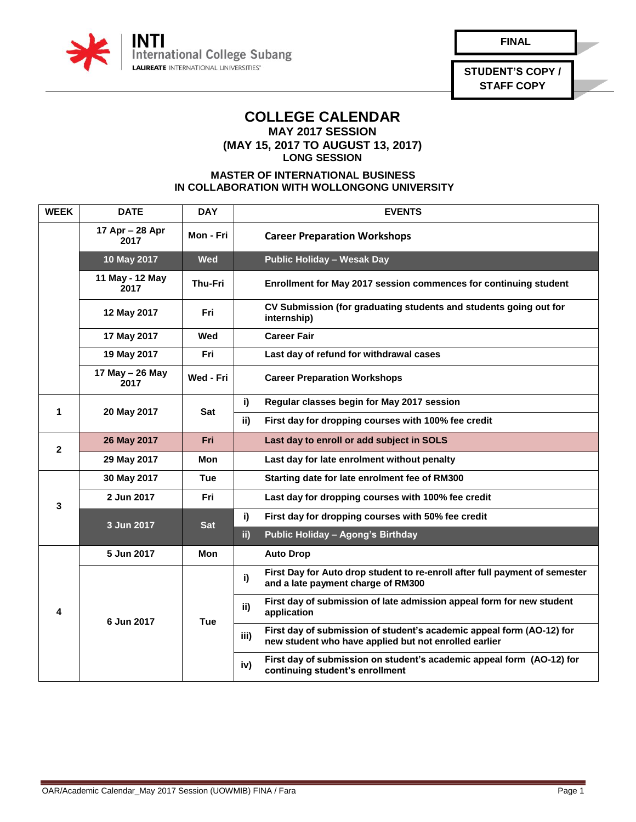

**STUDENT'S COPY / STAFF COPY**

## **COLLEGE CALENDAR MAY 2017 SESSION**

**(MAY 15, 2017 TO AUGUST 13, 2017)**

**LONG SESSION**

## **MASTER OF INTERNATIONAL BUSINESS IN COLLABORATION WITH WOLLONGONG UNIVERSITY**

| <b>WEEK</b>  | <b>DATE</b>             | <b>DAY</b> | <b>EVENTS</b>                                                                                                                          |
|--------------|-------------------------|------------|----------------------------------------------------------------------------------------------------------------------------------------|
|              | 17 Apr - 28 Apr<br>2017 | Mon - Fri  | <b>Career Preparation Workshops</b>                                                                                                    |
|              | 10 May 2017             | Wed        | <b>Public Holiday - Wesak Day</b>                                                                                                      |
|              | 11 May - 12 May<br>2017 | Thu-Fri    | Enrollment for May 2017 session commences for continuing student                                                                       |
|              | 12 May 2017             | Fri        | CV Submission (for graduating students and students going out for<br>internship)                                                       |
|              | 17 May 2017             | Wed        | <b>Career Fair</b>                                                                                                                     |
|              | 19 May 2017             | Fri        | Last day of refund for withdrawal cases                                                                                                |
|              | 17 May - 26 May<br>2017 | Wed - Fri  | <b>Career Preparation Workshops</b>                                                                                                    |
| 1            | 20 May 2017             | <b>Sat</b> | Regular classes begin for May 2017 session<br>i)                                                                                       |
|              |                         |            | ii)<br>First day for dropping courses with 100% fee credit                                                                             |
| $\mathbf{2}$ | 26 May 2017             | <b>Fri</b> | Last day to enroll or add subject in SOLS                                                                                              |
|              | 29 May 2017             | Mon        | Last day for late enrolment without penalty                                                                                            |
| 3            | 30 May 2017             | Tue        | Starting date for late enrolment fee of RM300                                                                                          |
|              | 2 Jun 2017              | Fri        | Last day for dropping courses with 100% fee credit                                                                                     |
|              | 3 Jun 2017              | <b>Sat</b> | i)<br>First day for dropping courses with 50% fee credit                                                                               |
|              |                         |            | ii)<br>Public Holiday - Agong's Birthday                                                                                               |
| 4            | 5 Jun 2017              | Mon        | <b>Auto Drop</b>                                                                                                                       |
|              | 6 Jun 2017              | Tue        | First Day for Auto drop student to re-enroll after full payment of semester<br>i)<br>and a late payment charge of RM300                |
|              |                         |            | First day of submission of late admission appeal form for new student<br>ii)<br>application                                            |
|              |                         |            | First day of submission of student's academic appeal form (AO-12) for<br>iii)<br>new student who have applied but not enrolled earlier |
|              |                         |            | First day of submission on student's academic appeal form (AO-12) for<br>iv)<br>continuing student's enrollment                        |